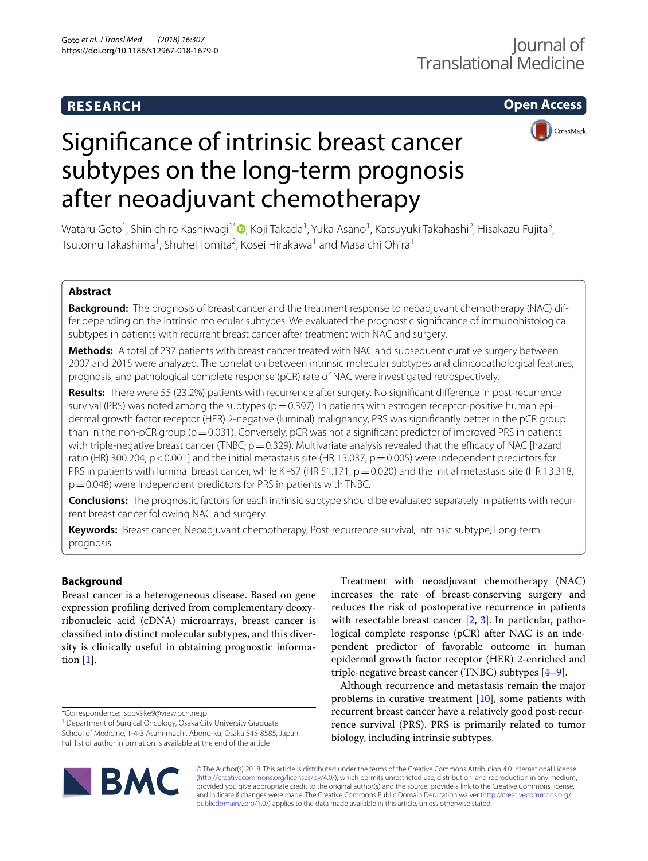# **RESEARCH**

**Open Access**



# Signifcance of intrinsic breast cancer subtypes on the long-term prognosis after neoadjuvant chemotherapy

Wataru Goto<sup>1</sup>[,](http://orcid.org/0000-0002-0460-9599) Shinichiro Kashiwagi<sup>1\*</sup>®, Koji Takada<sup>1</sup>, Yuka Asano<sup>1</sup>, Katsuyuki Takahashi<sup>2</sup>, Hisakazu Fujita<sup>3</sup>, Tsutomu Takashima<sup>1</sup>, Shuhei Tomita<sup>2</sup>, Kosei Hirakawa<sup>1</sup> and Masaichi Ohira<sup>1</sup>

# **Abstract**

**Background:** The prognosis of breast cancer and the treatment response to neoadjuvant chemotherapy (NAC) differ depending on the intrinsic molecular subtypes. We evaluated the prognostic signifcance of immunohistological subtypes in patients with recurrent breast cancer after treatment with NAC and surgery.

**Methods:** A total of 237 patients with breast cancer treated with NAC and subsequent curative surgery between 2007 and 2015 were analyzed. The correlation between intrinsic molecular subtypes and clinicopathological features, prognosis, and pathological complete response (pCR) rate of NAC were investigated retrospectively.

**Results:** There were 55 (23.2%) patients with recurrence after surgery. No signifcant diference in post-recurrence survival (PRS) was noted among the subtypes ( $p=0.397$ ). In patients with estrogen receptor-positive human epidermal growth factor receptor (HER) 2-negative (luminal) malignancy, PRS was signifcantly better in the pCR group than in the non-pCR group ( $p=0.031$ ). Conversely, pCR was not a significant predictor of improved PRS in patients with triple-negative breast cancer (TNBC;  $p=0.329$ ). Multivariate analysis revealed that the efficacy of NAC [hazard ratio (HR) 300.204, p < 0.001] and the initial metastasis site (HR 15.037, p = 0.005) were independent predictors for PRS in patients with luminal breast cancer, while Ki-67 (HR 51.171,  $p=0.020$ ) and the initial metastasis site (HR 13.318,  $p=0.048$ ) were independent predictors for PRS in patients with TNBC.

**Conclusions:** The prognostic factors for each intrinsic subtype should be evaluated separately in patients with recurrent breast cancer following NAC and surgery.

**Keywords:** Breast cancer, Neoadjuvant chemotherapy, Post-recurrence survival, Intrinsic subtype, Long-term prognosis

# **Background**

Breast cancer is a heterogeneous disease. Based on gene expression profling derived from complementary deoxyribonucleic acid (cDNA) microarrays, breast cancer is classifed into distinct molecular subtypes, and this diversity is clinically useful in obtaining prognostic information [[1\]](#page-8-0).

<sup>1</sup> Department of Surgical Oncology, Osaka City University Graduate School of Medicine, 1-4-3 Asahi-machi, Abeno-ku, Osaka 545-8585, Japan Full list of author information is available at the end of the article

Treatment with neoadjuvant chemotherapy (NAC) increases the rate of breast-conserving surgery and reduces the risk of postoperative recurrence in patients with resectable breast cancer [\[2](#page-8-1), [3\]](#page-8-2). In particular, pathological complete response (pCR) after NAC is an independent predictor of favorable outcome in human epidermal growth factor receptor (HER) 2-enriched and triple-negative breast cancer (TNBC) subtypes [[4–](#page-8-3)[9](#page-8-4)].

Although recurrence and metastasis remain the major problems in curative treatment [[10\]](#page-8-5), some patients with recurrent breast cancer have a relatively good post-recurrence survival (PRS). PRS is primarily related to tumor biology, including intrinsic subtypes.



© The Author(s) 2018. This article is distributed under the terms of the Creative Commons Attribution 4.0 International License [\(http://creativecommons.org/licenses/by/4.0/\)](http://creativecommons.org/licenses/by/4.0/), which permits unrestricted use, distribution, and reproduction in any medium, provided you give appropriate credit to the original author(s) and the source, provide a link to the Creative Commons license, and indicate if changes were made. The Creative Commons Public Domain Dedication waiver ([http://creativecommons.org/](http://creativecommons.org/publicdomain/zero/1.0/) [publicdomain/zero/1.0/](http://creativecommons.org/publicdomain/zero/1.0/)) applies to the data made available in this article, unless otherwise stated.

<sup>\*</sup>Correspondence: spqv9ke9@view.ocn.ne.jp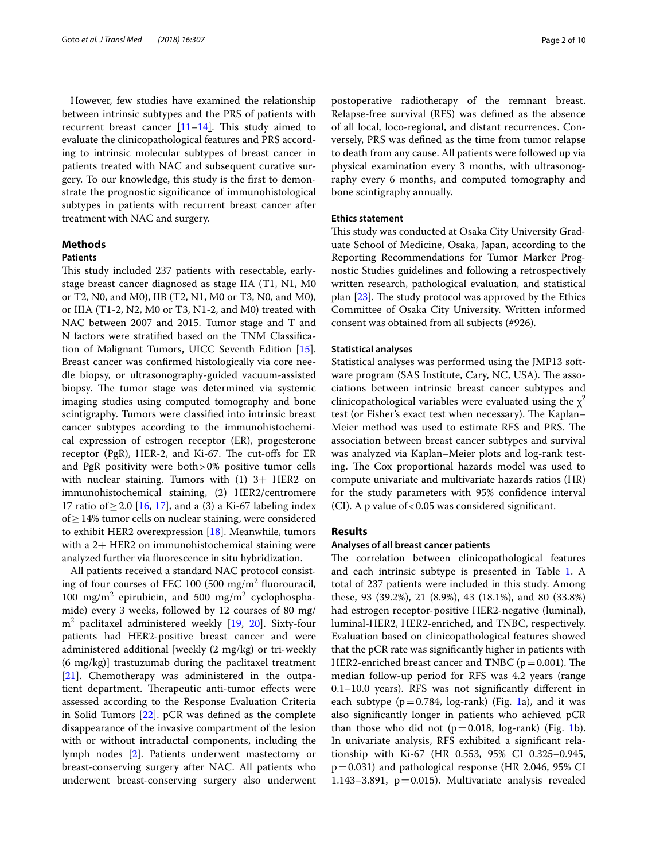However, few studies have examined the relationship between intrinsic subtypes and the PRS of patients with recurrent breast cancer  $[11-14]$  $[11-14]$ . This study aimed to evaluate the clinicopathological features and PRS according to intrinsic molecular subtypes of breast cancer in patients treated with NAC and subsequent curative surgery. To our knowledge, this study is the frst to demonstrate the prognostic signifcance of immunohistological subtypes in patients with recurrent breast cancer after treatment with NAC and surgery.

## **Methods**

## **Patients**

This study included 237 patients with resectable, earlystage breast cancer diagnosed as stage IIA (T1, N1, M0 or T2, N0, and M0), IIB (T2, N1, M0 or T3, N0, and M0), or IIIA (T1-2, N2, M0 or T3, N1-2, and M0) treated with NAC between 2007 and 2015. Tumor stage and T and N factors were stratifed based on the TNM Classifcation of Malignant Tumors, UICC Seventh Edition [\[15](#page-8-8)]. Breast cancer was confrmed histologically via core needle biopsy, or ultrasonography-guided vacuum-assisted biopsy. The tumor stage was determined via systemic imaging studies using computed tomography and bone scintigraphy. Tumors were classifed into intrinsic breast cancer subtypes according to the immunohistochemical expression of estrogen receptor (ER), progesterone receptor (PgR), HER-2, and Ki-67. The cut-offs for ER and PgR positivity were both>0% positive tumor cells with nuclear staining. Tumors with (1) 3+ HER2 on immunohistochemical staining, (2) HER2/centromere 17 ratio of ≥ 2.0 [[16](#page-8-9), [17](#page-8-10)], and a (3) a Ki-67 labeling index of≥14% tumor cells on nuclear staining, were considered to exhibit HER2 overexpression [[18\]](#page-8-11). Meanwhile, tumors with a 2+ HER2 on immunohistochemical staining were analyzed further via fuorescence in situ hybridization.

All patients received a standard NAC protocol consisting of four courses of FEC 100 (500 mg/m<sup>2</sup> fluorouracil, 100 mg/m<sup>2</sup> epirubicin, and 500 mg/m<sup>2</sup> cyclophosphamide) every 3 weeks, followed by 12 courses of 80 mg/ m2 paclitaxel administered weekly [\[19,](#page-8-12) [20](#page-9-0)]. Sixty-four patients had HER2-positive breast cancer and were administered additional [weekly (2 mg/kg) or tri-weekly (6 mg/kg)] trastuzumab during the paclitaxel treatment [[21\]](#page-9-1). Chemotherapy was administered in the outpatient department. Therapeutic anti-tumor effects were assessed according to the Response Evaluation Criteria in Solid Tumors [\[22\]](#page-9-2). pCR was defned as the complete disappearance of the invasive compartment of the lesion with or without intraductal components, including the lymph nodes [\[2](#page-8-1)]. Patients underwent mastectomy or breast-conserving surgery after NAC. All patients who underwent breast-conserving surgery also underwent

postoperative radiotherapy of the remnant breast. Relapse-free survival (RFS) was defned as the absence of all local, loco-regional, and distant recurrences. Conversely, PRS was defned as the time from tumor relapse to death from any cause. All patients were followed up via physical examination every 3 months, with ultrasonography every 6 months, and computed tomography and bone scintigraphy annually.

## **Ethics statement**

This study was conducted at Osaka City University Graduate School of Medicine, Osaka, Japan, according to the Reporting Recommendations for Tumor Marker Prognostic Studies guidelines and following a retrospectively written research, pathological evaluation, and statistical plan  $[23]$  $[23]$ . The study protocol was approved by the Ethics Committee of Osaka City University. Written informed consent was obtained from all subjects (#926).

## **Statistical analyses**

Statistical analyses was performed using the JMP13 software program (SAS Institute, Cary, NC, USA). The associations between intrinsic breast cancer subtypes and clinicopathological variables were evaluated using the  $\chi^2$ test (or Fisher's exact test when necessary). The Kaplan– Meier method was used to estimate RFS and PRS. The association between breast cancer subtypes and survival was analyzed via Kaplan–Meier plots and log-rank testing. The Cox proportional hazards model was used to compute univariate and multivariate hazards ratios (HR) for the study parameters with 95% confdence interval (CI). A p value of  $< 0.05$  was considered significant.

## **Results**

## **Analyses of all breast cancer patients**

The correlation between clinicopathological features and each intrinsic subtype is presented in Table [1.](#page-2-0) A total of 237 patients were included in this study. Among these, 93 (39.2%), 21 (8.9%), 43 (18.1%), and 80 (33.8%) had estrogen receptor-positive HER2-negative (luminal), luminal-HER2, HER2-enriched, and TNBC, respectively. Evaluation based on clinicopathological features showed that the pCR rate was signifcantly higher in patients with HER2-enriched breast cancer and TNBC ( $p=0.001$ ). The median follow-up period for RFS was 4.2 years (range 0.1–10.0 years). RFS was not signifcantly diferent in each subtype ( $p=0.784$ , log-rank) (Fig. [1a](#page-3-0)), and it was also signifcantly longer in patients who achieved pCR than those who did not  $(p=0.018, \log-rank)$  (Fig. [1b](#page-3-0)). In univariate analysis, RFS exhibited a signifcant relationship with Ki-67 (HR 0.553, 95% CI 0.325–0.945,  $p=0.031$ ) and pathological response (HR 2.046, 95% CI 1.143–3.891,  $p=0.015$ ). Multivariate analysis revealed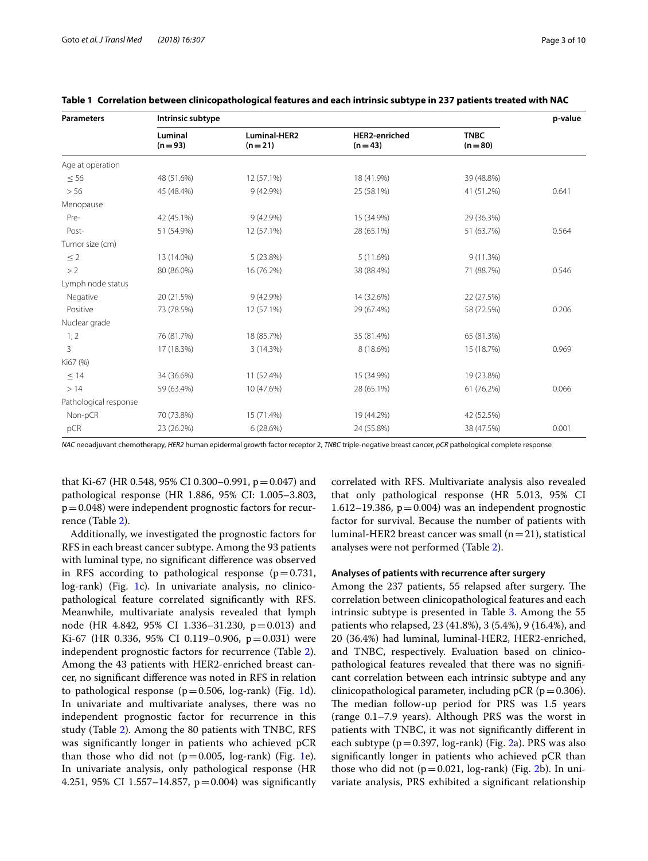| Page 5 OF |  |
|-----------|--|
|           |  |
|           |  |

| <b>Parameters</b>     | Intrinsic subtype   |                          |                                  |                         |       |  |
|-----------------------|---------------------|--------------------------|----------------------------------|-------------------------|-------|--|
|                       | Luminal<br>$(n=93)$ | Luminal-HER2<br>$(n=21)$ | <b>HER2-enriched</b><br>$(n=43)$ | <b>TNBC</b><br>$(n=80)$ |       |  |
| Age at operation      |                     |                          |                                  |                         |       |  |
| $\leq 56$             | 48 (51.6%)          | 12 (57.1%)               | 18 (41.9%)                       | 39 (48.8%)              |       |  |
| > 56                  | 45 (48.4%)          | 9 (42.9%)                | 25 (58.1%)                       | 41 (51.2%)              | 0.641 |  |
| Menopause             |                     |                          |                                  |                         |       |  |
| Pre-                  | 42 (45.1%)          | 9 (42.9%)                | 15 (34.9%)                       | 29 (36.3%)              |       |  |
| Post-                 | 51 (54.9%)          | 12 (57.1%)               | 28 (65.1%)                       | 51 (63.7%)              | 0.564 |  |
| Tumor size (cm)       |                     |                          |                                  |                         |       |  |
| $\leq 2$              | 13 (14.0%)          | 5(23.8%)                 | 5(11.6%)                         | 9(11.3%)                |       |  |
| >2                    | 80 (86.0%)          | 16 (76.2%)               | 38 (88.4%)                       | 71 (88.7%)              | 0.546 |  |
| Lymph node status     |                     |                          |                                  |                         |       |  |
| Negative              | 20 (21.5%)          | 9(42.9%)                 | 14 (32.6%)                       | 22 (27.5%)              |       |  |
| Positive              | 73 (78.5%)          | 12 (57.1%)               | 29 (67.4%)                       | 58 (72.5%)              | 0.206 |  |
| Nuclear grade         |                     |                          |                                  |                         |       |  |
| 1, 2                  | 76 (81.7%)          | 18 (85.7%)               | 35 (81.4%)                       | 65 (81.3%)              |       |  |
| 3                     | 17 (18.3%)          | 3 (14.3%)                | 8 (18.6%)                        | 15 (18.7%)              | 0.969 |  |
| Ki67 (%)              |                     |                          |                                  |                         |       |  |
| $\leq$ 14             | 34 (36.6%)          | 11 (52.4%)               | 15 (34.9%)                       | 19 (23.8%)              |       |  |
| >14                   | 59 (63.4%)          | 10 (47.6%)               | 28 (65.1%)                       | 61 (76.2%)              | 0.066 |  |
| Pathological response |                     |                          |                                  |                         |       |  |
| Non-pCR               | 70 (73.8%)          | 15 (71.4%)               | 19 (44.2%)                       | 42 (52.5%)              |       |  |
| pCR                   | 23 (26.2%)          | 6(28.6%)                 | 24 (55.8%)                       | 38 (47.5%)              | 0.001 |  |

<span id="page-2-0"></span>

|  |  |  |  | Table 1 Correlation between clinicopathological features and each intrinsic subtype in 237 patients treated with NAC |
|--|--|--|--|----------------------------------------------------------------------------------------------------------------------|
|--|--|--|--|----------------------------------------------------------------------------------------------------------------------|

*NAC* neoadjuvant chemotherapy, *HER2* human epidermal growth factor receptor 2, *TNBC* triple-negative breast cancer, *pCR* pathological complete response

that Ki-67 (HR 0.548, 95% CI 0.300–0.991,  $p = 0.047$ ) and pathological response (HR 1.886, 95% CI: 1.005–3.803,  $p=0.048$ ) were independent prognostic factors for recurrence (Table [2](#page-4-0)).

Additionally, we investigated the prognostic factors for RFS in each breast cancer subtype. Among the 93 patients with luminal type, no signifcant diference was observed in RFS according to pathological response ( $p=0.731$ , log-rank) (Fig. [1](#page-3-0)c). In univariate analysis, no clinicopathological feature correlated signifcantly with RFS. Meanwhile, multivariate analysis revealed that lymph node (HR 4.842, 95% CI 1.336–31.230, p=0.013) and Ki-67 (HR 0.336, 95% CI 0.119–0.906,  $p=0.031$ ) were independent prognostic factors for recurrence (Table [2](#page-4-0)). Among the 43 patients with HER2-enriched breast cancer, no signifcant diference was noted in RFS in relation to pathological response ( $p=0.506$ , log-rank) (Fig. [1d](#page-3-0)). In univariate and multivariate analyses, there was no independent prognostic factor for recurrence in this study (Table [2](#page-4-0)). Among the 80 patients with TNBC, RFS was signifcantly longer in patients who achieved pCR than those who did not  $(p=0.005, \log-rank)$  (Fig. [1e](#page-3-0)). In univariate analysis, only pathological response (HR 4.251, 95% CI 1.557–14.857,  $p = 0.004$ ) was significantly

correlated with RFS. Multivariate analysis also revealed that only pathological response (HR 5.013, 95% CI 1.612–19.386,  $p=0.004$ ) was an independent prognostic factor for survival. Because the number of patients with luminal-HER2 breast cancer was small ( $n=21$ ), statistical analyses were not performed (Table [2](#page-4-0)).

## **Analyses of patients with recurrence after surgery**

Among the 237 patients, 55 relapsed after surgery. The correlation between clinicopathological features and each intrinsic subtype is presented in Table [3.](#page-5-0) Among the 55 patients who relapsed, 23 (41.8%), 3 (5.4%), 9 (16.4%), and 20 (36.4%) had luminal, luminal-HER2, HER2-enriched, and TNBC, respectively. Evaluation based on clinicopathological features revealed that there was no signifcant correlation between each intrinsic subtype and any clinicopathological parameter, including  $pCR$  ( $p=0.306$ ). The median follow-up period for PRS was 1.5 years (range 0.1–7.9 years). Although PRS was the worst in patients with TNBC, it was not signifcantly diferent in each subtype ( $p=0.397$ , log-rank) (Fig. [2](#page-6-0)a). PRS was also signifcantly longer in patients who achieved pCR than those who did not  $(p=0.021, \log-rank)$  $(p=0.021, \log-rank)$  $(p=0.021, \log-rank)$  (Fig. 2b). In univariate analysis, PRS exhibited a signifcant relationship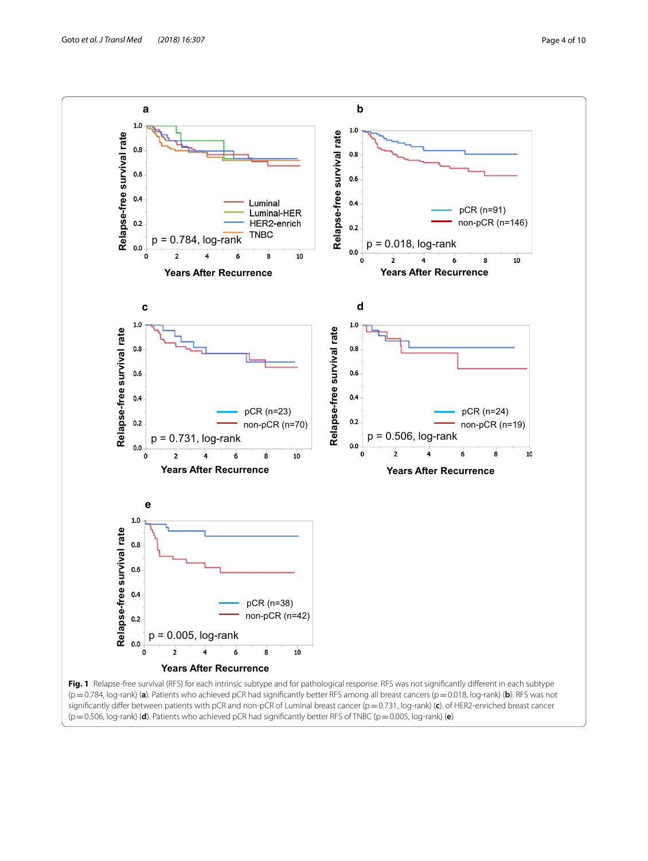<span id="page-3-0"></span>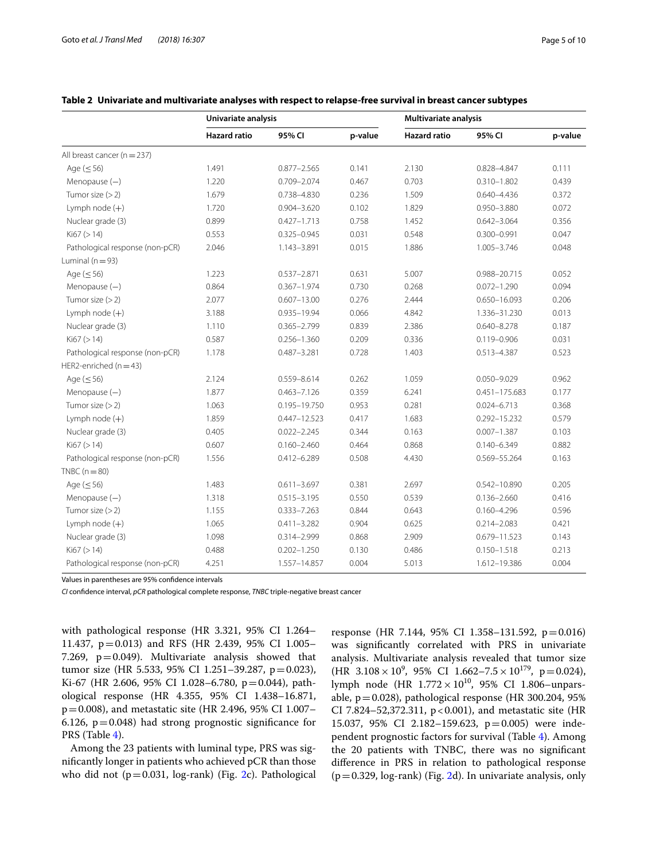|                                 | Univariate analysis |                  |         | <b>Multivariate analysis</b> |                   |         |
|---------------------------------|---------------------|------------------|---------|------------------------------|-------------------|---------|
|                                 | <b>Hazard ratio</b> | 95% CI           | p-value | <b>Hazard ratio</b>          | 95% CI            | p-value |
| All breast cancer ( $n = 237$ ) |                     |                  |         |                              |                   |         |
| Age $(\leq 56)$                 | 1.491               | $0.877 - 2.565$  | 0.141   | 2.130                        | 0.828-4.847       | 0.111   |
| Menopause $(-)$                 | 1.220               | $0.709 - 2.074$  | 0.467   | 0.703                        | $0.310 - 1.802$   | 0.439   |
| Tumor size $(>2)$               | 1.679               | 0.738-4.830      | 0.236   | 1.509                        | 0.640-4.436       | 0.372   |
| Lymph node $(+)$                | 1.720               | $0.904 - 3.620$  | 0.102   | 1.829                        | 0.950-3.880       | 0.072   |
| Nuclear grade (3)               | 0.899               | $0.427 - 1.713$  | 0.758   | 1.452                        | $0.642 - 3.064$   | 0.356   |
| Ki67 (> 14)                     | 0.553               | $0.325 - 0.945$  | 0.031   | 0.548                        | $0.300 - 0.991$   | 0.047   |
| Pathological response (non-pCR) | 2.046               | 1.143-3.891      | 0.015   | 1.886                        | 1.005-3.746       | 0.048   |
| Luminal ( $n = 93$ )            |                     |                  |         |                              |                   |         |
| Age $(\leq 56)$                 | 1.223               | $0.537 - 2.871$  | 0.631   | 5.007                        | 0.988-20.715      | 0.052   |
| Menopause $(-)$                 | 0.864               | $0.367 - 1.974$  | 0.730   | 0.268                        | $0.072 - 1.290$   | 0.094   |
| Tumor size $(>2)$               | 2.077               | $0.607 - 13.00$  | 0.276   | 2.444                        | $0.650 - 16.093$  | 0.206   |
| Lymph node $(+)$                | 3.188               | 0.935-19.94      | 0.066   | 4.842                        | 1.336-31.230      | 0.013   |
| Nuclear grade (3)               | 1.110               | $0.365 - 2.799$  | 0.839   | 2.386                        | $0.640 - 8.278$   | 0.187   |
| Ki67 (> 14)                     | 0.587               | $0.256 - 1.360$  | 0.209   | 0.336                        | $0.119 - 0.906$   | 0.031   |
| Pathological response (non-pCR) | 1.178               | $0.487 - 3.281$  | 0.728   | 1.403                        | $0.513 - 4.387$   | 0.523   |
| HER2-enriched ( $n = 43$ )      |                     |                  |         |                              |                   |         |
| Age $(\leq 56)$                 | 2.124               | 0.559-8.614      | 0.262   | 1.059                        | 0.050-9.029       | 0.962   |
| Menopause $(-)$                 | 1.877               | $0.463 - 7.126$  | 0.359   | 6.241                        | $0.451 - 175.683$ | 0.177   |
| Tumor size $(>2)$               | 1.063               | 0.195-19.750     | 0.953   | 0.281                        | $0.024 - 6.713$   | 0.368   |
| Lymph node $(+)$                | 1.859               | $0.447 - 12.523$ | 0.417   | 1.683                        | $0.292 - 15.232$  | 0.579   |
| Nuclear grade (3)               | 0.405               | $0.022 - 2.245$  | 0.344   | 0.163                        | $0.007 - 1.387$   | 0.103   |
| Ki67 (> 14)                     | 0.607               | $0.160 - 2.460$  | 0.464   | 0.868                        | $0.140 - 6.349$   | 0.882   |
| Pathological response (non-pCR) | 1.556               | $0.412 - 6.289$  | 0.508   | 4.430                        | 0.569-55.264      | 0.163   |
| $TNEC(n=80)$                    |                     |                  |         |                              |                   |         |
| Age $(\leq 56)$                 | 1.483               | $0.611 - 3.697$  | 0.381   | 2.697                        | 0.542-10.890      | 0.205   |
| Menopause $(-)$                 | 1.318               | $0.515 - 3.195$  | 0.550   | 0.539                        | $0.136 - 2.660$   | 0.416   |
| Tumor size $(>2)$               | 1.155               | $0.333 - 7.263$  | 0.844   | 0.643                        | $0.160 - 4.296$   | 0.596   |
| Lymph node $(+)$                | 1.065               | $0.411 - 3.282$  | 0.904   | 0.625                        | $0.214 - 2.083$   | 0.421   |
| Nuclear grade (3)               | 1.098               | 0.314-2.999      | 0.868   | 2.909                        | 0.679-11.523      | 0.143   |
| Ki67 (> 14)                     | 0.488               | $0.202 - 1.250$  | 0.130   | 0.486                        | $0.150 - 1.518$   | 0.213   |
| Pathological response (non-pCR) | 4.251               | 1.557-14.857     | 0.004   | 5.013                        | 1.612-19.386      | 0.004   |

## <span id="page-4-0"></span>**Table 2 Univariate and multivariate analyses with respect to relapse-free survival in breast cancer subtypes**

Values in parentheses are 95% confdence intervals

*CI* confdence interval, *pCR* pathological complete response, *TNBC* triple-negative breast cancer

with pathological response (HR 3.321, 95% CI 1.264– 11.437, p=0.013) and RFS (HR 2.439, 95% CI 1.005– 7.269,  $p=0.049$ ). Multivariate analysis showed that tumor size (HR 5.533, 95% CI 1.251–39.287, p=0.023), Ki-67 (HR 2.606, 95% CI 1.028-6.780, p=0.044), pathological response (HR 4.355, 95% CI 1.438–16.871, p=0.008), and metastatic site (HR 2.496, 95% CI 1.007– 6.126,  $p = 0.048$ ) had strong prognostic significance for PRS (Table [4\)](#page-7-0).

Among the 23 patients with luminal type, PRS was signifcantly longer in patients who achieved pCR than those who did not  $(p=0.031, \log-rank)$  (Fig. [2c](#page-6-0)). Pathological response (HR 7.144, 95% CI 1.358–131.592, p=0.016) was signifcantly correlated with PRS in univariate analysis. Multivariate analysis revealed that tumor size  $(HR \ 3.108 \times 10^9, 95\% \ \text{CI} \ 1.662 - 7.5 \times 10^{179}, \ \text{p} = 0.024),$ lymph node (HR  $1.772 \times 10^{10}$ , 95% CI 1.806–unparsable,  $p=0.028$ ), pathological response (HR 300.204, 95%) CI 7.824–52,372.311, p<0.001), and metastatic site (HR 15.037, 95% CI 2.182–159.623, p=0.005) were independent prognostic factors for survival (Table [4](#page-7-0)). Among the 20 patients with TNBC, there was no signifcant diference in PRS in relation to pathological response  $(p=0.329, log-rank)$  (Fig. [2d](#page-6-0)). In univariate analysis, only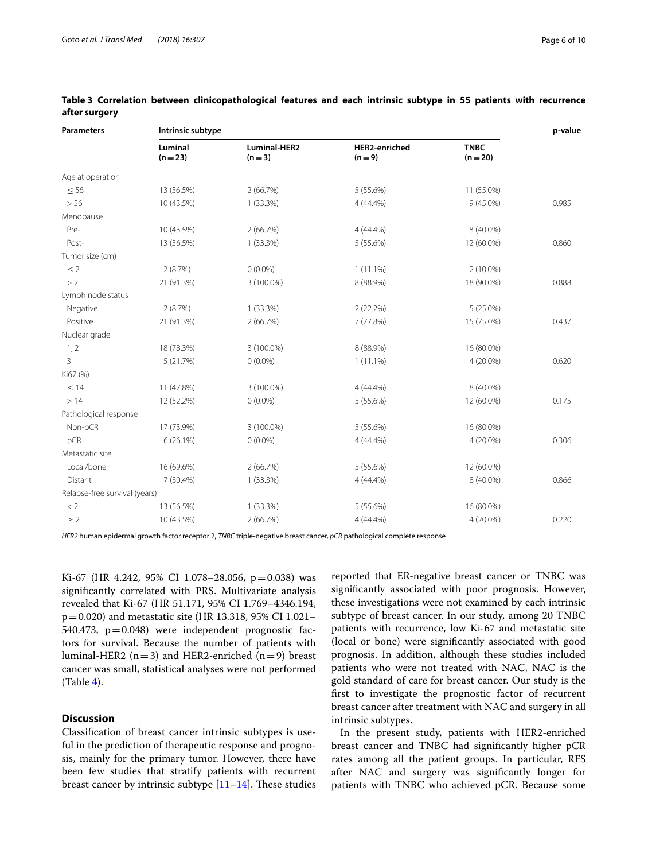| <b>Parameters</b>             | Intrinsic subtype   |                                |                                 |                         |       |  |
|-------------------------------|---------------------|--------------------------------|---------------------------------|-------------------------|-------|--|
|                               | Luminal<br>$(n=23)$ | <b>Luminal-HER2</b><br>$(n=3)$ | <b>HER2-enriched</b><br>$(n=9)$ | <b>TNBC</b><br>$(n=20)$ |       |  |
| Age at operation              |                     |                                |                                 |                         |       |  |
| $\leq 56$                     | 13 (56.5%)          | 2(66.7%)                       | 5 (55.6%)                       | 11 (55.0%)              |       |  |
| > 56                          | 10 (43.5%)          | $1(33.3\%)$                    | $4(44.4\%)$                     | $9(45.0\%)$             | 0.985 |  |
| Menopause                     |                     |                                |                                 |                         |       |  |
| Pre-                          | 10 (43.5%)          | 2(66.7%)                       | $4(44.4\%)$                     | 8 (40.0%)               |       |  |
| Post-                         | 13 (56.5%)          | $1(33.3\%)$                    | 5(55.6%)                        | 12 (60.0%)              | 0.860 |  |
| Tumor size (cm)               |                     |                                |                                 |                         |       |  |
| $\leq$ 2                      | 2(8.7%)             | $0(0.0\%)$                     | $1(11.1\%)$                     | $2(10.0\%)$             |       |  |
| >2                            | 21 (91.3%)          | 3 (100.0%)                     | 8 (88.9%)                       | 18 (90.0%)              | 0.888 |  |
| Lymph node status             |                     |                                |                                 |                         |       |  |
| Negative                      | 2(8.7%)             | $1(33.3\%)$                    | 2(22.2%)                        | 5 (25.0%)               |       |  |
| Positive                      | 21 (91.3%)          | 2(66.7%)                       | 7 (77.8%)                       | 15 (75.0%)              | 0.437 |  |
| Nuclear grade                 |                     |                                |                                 |                         |       |  |
| 1, 2                          | 18 (78.3%)          | 3 (100.0%)                     | 8 (88.9%)                       | 16 (80.0%)              |       |  |
| 3                             | 5(21.7%)            | $0(0.0\%)$                     | $1(11.1\%)$                     | 4 (20.0%)               | 0.620 |  |
| Ki67 (%)                      |                     |                                |                                 |                         |       |  |
| $\leq$ 14                     | 11 (47.8%)          | 3 (100.0%)                     | 4 (44.4%)                       | 8 (40.0%)               |       |  |
| >14                           | 12 (52.2%)          | $0(0.0\%)$                     | 5 (55.6%)                       | 12 (60.0%)              | 0.175 |  |
| Pathological response         |                     |                                |                                 |                         |       |  |
| Non-pCR                       | 17 (73.9%)          | 3 (100.0%)                     | 5 (55.6%)                       | 16 (80.0%)              |       |  |
| pCR                           | $6(26.1\%)$         | $0(0.0\%)$                     | 4 (44.4%)                       | 4 (20.0%)               | 0.306 |  |
| Metastatic site               |                     |                                |                                 |                         |       |  |
| Local/bone                    | 16 (69.6%)          | 2(66.7%)                       | 5 (55.6%)                       | 12 (60.0%)              |       |  |
| Distant                       | 7 (30.4%)           | $1(33.3\%)$                    | $4(44.4\%)$                     | 8 (40.0%)               | 0.866 |  |
| Relapse-free survival (years) |                     |                                |                                 |                         |       |  |
| < 2                           | 13 (56.5%)          | $1(33.3\%)$                    | 5 (55.6%)                       | 16 (80.0%)              |       |  |
| $\geq 2$                      | 10 (43.5%)          | 2(66.7%)                       | 4 (44.4%)                       | 4 (20.0%)               | 0.220 |  |

## <span id="page-5-0"></span>**Table 3 Correlation between clinicopathological features and each intrinsic subtype in 55 patients with recurrence after surgery**

*HER2* human epidermal growth factor receptor 2, *TNBC* triple-negative breast cancer, *pCR* pathological complete response

Ki-67 (HR 4.242, 95% CI 1.078-28.056, p=0.038) was signifcantly correlated with PRS. Multivariate analysis revealed that Ki-67 (HR 51.171, 95% CI 1.769–4346.194, p=0.020) and metastatic site (HR 13.318, 95% CI 1.021– 540.473, p=0.048) were independent prognostic factors for survival. Because the number of patients with luminal-HER2 ( $n=3$ ) and HER2-enriched ( $n=9$ ) breast cancer was small, statistical analyses were not performed (Table [4](#page-7-0)).

## **Discussion**

Classifcation of breast cancer intrinsic subtypes is useful in the prediction of therapeutic response and prognosis, mainly for the primary tumor. However, there have been few studies that stratify patients with recurrent breast cancer by intrinsic subtype  $[11-14]$  $[11-14]$  $[11-14]$ . These studies

reported that ER-negative breast cancer or TNBC was signifcantly associated with poor prognosis. However, these investigations were not examined by each intrinsic subtype of breast cancer. In our study, among 20 TNBC patients with recurrence, low Ki-67 and metastatic site (local or bone) were signifcantly associated with good prognosis. In addition, although these studies included patients who were not treated with NAC, NAC is the gold standard of care for breast cancer. Our study is the frst to investigate the prognostic factor of recurrent breast cancer after treatment with NAC and surgery in all intrinsic subtypes.

In the present study, patients with HER2-enriched breast cancer and TNBC had signifcantly higher pCR rates among all the patient groups. In particular, RFS after NAC and surgery was signifcantly longer for patients with TNBC who achieved pCR. Because some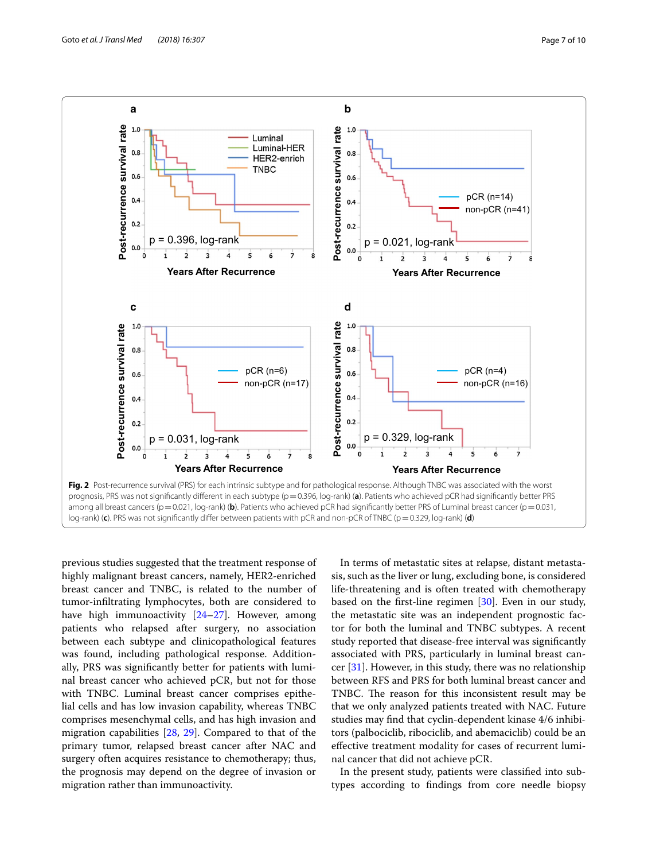

<span id="page-6-0"></span>previous studies suggested that the treatment response of highly malignant breast cancers, namely, HER2-enriched breast cancer and TNBC, is related to the number of tumor-infltrating lymphocytes, both are considered to have high immunoactivity [\[24](#page-9-4)[–27](#page-9-5)]. However, among patients who relapsed after surgery, no association between each subtype and clinicopathological features was found, including pathological response. Additionally, PRS was signifcantly better for patients with luminal breast cancer who achieved pCR, but not for those with TNBC. Luminal breast cancer comprises epithelial cells and has low invasion capability, whereas TNBC comprises mesenchymal cells, and has high invasion and migration capabilities [[28,](#page-9-6) [29](#page-9-7)]. Compared to that of the primary tumor, relapsed breast cancer after NAC and surgery often acquires resistance to chemotherapy; thus, the prognosis may depend on the degree of invasion or migration rather than immunoactivity.

In terms of metastatic sites at relapse, distant metastasis, such as the liver or lung, excluding bone, is considered life-threatening and is often treated with chemotherapy based on the frst-line regimen [\[30](#page-9-8)]. Even in our study, the metastatic site was an independent prognostic factor for both the luminal and TNBC subtypes. A recent study reported that disease-free interval was signifcantly associated with PRS, particularly in luminal breast cancer  $[31]$  $[31]$ . However, in this study, there was no relationship between RFS and PRS for both luminal breast cancer and TNBC. The reason for this inconsistent result may be that we only analyzed patients treated with NAC. Future studies may fnd that cyclin-dependent kinase 4/6 inhibitors (palbociclib, ribociclib, and abemaciclib) could be an efective treatment modality for cases of recurrent luminal cancer that did not achieve pCR.

In the present study, patients were classifed into subtypes according to fndings from core needle biopsy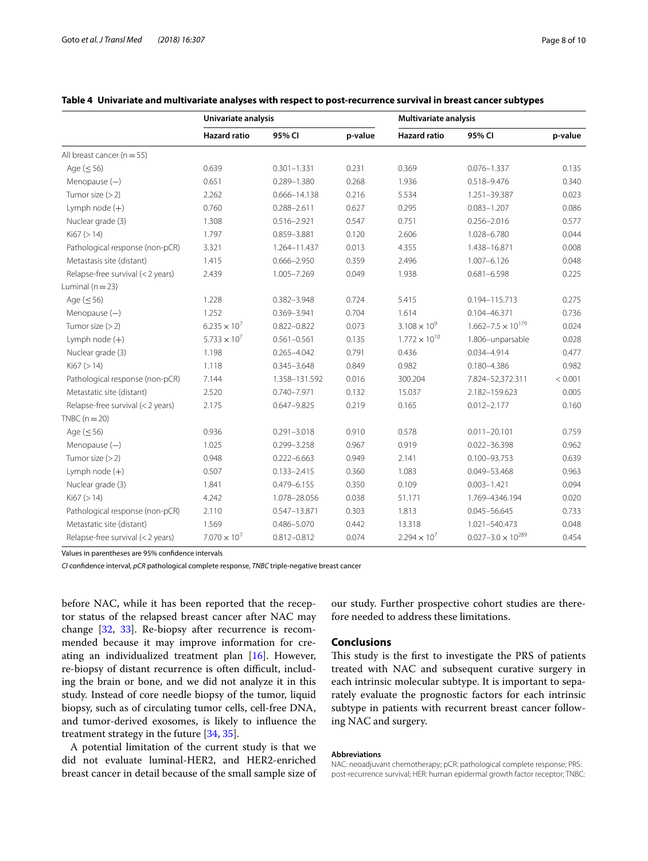|                                   | Univariate analysis   |                  |         | Multivariate analysis  |                               |         |
|-----------------------------------|-----------------------|------------------|---------|------------------------|-------------------------------|---------|
|                                   | <b>Hazard ratio</b>   | 95% CI           | p-value | <b>Hazard ratio</b>    | 95% CI                        | p-value |
| All breast cancer ( $n = 55$ )    |                       |                  |         |                        |                               |         |
| Age $(\leq 56)$                   | 0.639                 | $0.301 - 1.331$  | 0.231   | 0.369                  | $0.076 - 1.337$               | 0.135   |
| Menopause $(-)$                   | 0.651                 | $0.289 - 1.380$  | 0.268   | 1.936                  | 0.518-9.476                   | 0.340   |
| Tumor size $(>2)$                 | 2.262                 | $0.666 - 14.138$ | 0.216   | 5.534                  | 1.251-39.387                  | 0.023   |
| Lymph node $(+)$                  | 0.760                 | $0.288 - 2.611$  | 0.627   | 0.295                  | $0.083 - 1.207$               | 0.086   |
| Nuclear grade (3)                 | 1.308                 | $0.516 - 2.921$  | 0.547   | 0.751                  | $0.256 - 2.016$               | 0.577   |
| Ki67 (> 14)                       | 1.797                 | 0.859-3.881      | 0.120   | 2.606                  | 1.028-6.780                   | 0.044   |
| Pathological response (non-pCR)   | 3.321                 | 1.264-11.437     | 0.013   | 4.355                  | 1.438-16.871                  | 0.008   |
| Metastasis site (distant)         | 1.415                 | $0.666 - 2.950$  | 0.359   | 2.496                  | $1.007 - 6.126$               | 0.048   |
| Relapse-free survival (< 2 years) | 2.439                 | 1.005-7.269      | 0.049   | 1.938                  | $0.681 - 6.598$               | 0.225   |
| Luminal ( $n = 23$ )              |                       |                  |         |                        |                               |         |
| Age $(\leq 56)$                   | 1.228                 | $0.382 - 3.948$  | 0.724   | 5.415                  | 0.194-115.713                 | 0.275   |
| Menopause $(-)$                   | 1.252                 | 0.369-3.941      | 0.704   | 1.614                  | 0.104-46.371                  | 0.736   |
| Tumor size $(>2)$                 | $6.235 \times 10^{7}$ | $0.822 - 0.822$  | 0.073   | $3.108 \times 10^{9}$  | $1.662 - 7.5 \times 10^{179}$ | 0.024   |
| Lymph node $(+)$                  | $5.733 \times 10^{7}$ | $0.561 - 0.561$  | 0.135   | $1.772 \times 10^{10}$ | 1.806-unparsable              | 0.028   |
| Nuclear grade (3)                 | 1.198                 | $0.265 - 4.042$  | 0.791   | 0.436                  | 0.034-4.914                   | 0.477   |
| Ki67 (> 14)                       | 1.118                 | $0.345 - 3.648$  | 0.849   | 0.982                  | $0.180 - 4.386$               | 0.982   |
| Pathological response (non-pCR)   | 7.144                 | 1.358-131.592    | 0.016   | 300.204                | 7.824-52,372.311              | < 0.001 |
| Metastatic site (distant)         | 2.520                 | 0.740-7.971      | 0.132   | 15.037                 | 2.182-159.623                 | 0.005   |
| Relapse-free survival (< 2 years) | 2.175                 | $0.647 - 9.825$  | 0.219   | 0.165                  | $0.012 - 2.177$               | 0.160   |
| TNBC $(n=20)$                     |                       |                  |         |                        |                               |         |
| Age $(\leq 56)$                   | 0.936                 | $0.291 - 3.018$  | 0.910   | 0.578                  | $0.011 - 20.101$              | 0.759   |
| Menopause $(-)$                   | 1.025                 | $0.299 - 3.258$  | 0.967   | 0.919                  | $0.022 - 36.398$              | 0.962   |
| Tumor size $(>2)$                 | 0.948                 | $0.222 - 6.663$  | 0.949   | 2.141                  | 0.100-93.753                  | 0.639   |
| Lymph node $(+)$                  | 0.507                 | $0.133 - 2.415$  | 0.360   | 1.083                  | 0.049-53.468                  | 0.963   |
| Nuclear grade (3)                 | 1.841                 | $0.479 - 6.155$  | 0.350   | 0.109                  | $0.003 - 1.421$               | 0.094   |
| Ki67 (> 14)                       | 4.242                 | 1.078-28.056     | 0.038   | 51.171                 | 1.769-4346.194                | 0.020   |
| Pathological response (non-pCR)   | 2.110                 | 0.547-13.871     | 0.303   | 1.813                  | $0.045 - 56.645$              | 0.733   |
| Metastatic site (distant)         | 1.569                 | 0.486-5.070      | 0.442   | 13.318                 | 1.021-540.473                 | 0.048   |
| Relapse-free survival (< 2 years) | $7.070 \times 10^{7}$ | $0.812 - 0.812$  | 0.074   | $2.294 \times 10^{7}$  | $0.027 - 3.0 \times 10^{289}$ | 0.454   |

## <span id="page-7-0"></span>**Table 4 Univariate and multivariate analyses with respect to post-recurrence survival in breast cancer subtypes**

Values in parentheses are 95% confdence intervals

*CI* confdence interval, *pCR* pathological complete response, *TNBC* triple-negative breast cancer

before NAC, while it has been reported that the receptor status of the relapsed breast cancer after NAC may change [[32](#page-9-10), [33](#page-9-11)]. Re-biopsy after recurrence is recommended because it may improve information for creating an individualized treatment plan [[16\]](#page-8-9). However, re-biopsy of distant recurrence is often difficult, including the brain or bone, and we did not analyze it in this study. Instead of core needle biopsy of the tumor, liquid biopsy, such as of circulating tumor cells, cell-free DNA, and tumor-derived exosomes, is likely to infuence the treatment strategy in the future [\[34](#page-9-12), [35](#page-9-13)].

A potential limitation of the current study is that we did not evaluate luminal-HER2, and HER2-enriched breast cancer in detail because of the small sample size of

our study. Further prospective cohort studies are therefore needed to address these limitations.

## **Conclusions**

This study is the first to investigate the PRS of patients treated with NAC and subsequent curative surgery in each intrinsic molecular subtype. It is important to separately evaluate the prognostic factors for each intrinsic subtype in patients with recurrent breast cancer following NAC and surgery.

#### **Abbreviations**

NAC: neoadjuvant chemotherapy; pCR: pathological complete response; PRS: post-recurrence survival; HER: human epidermal growth factor receptor; TNBC: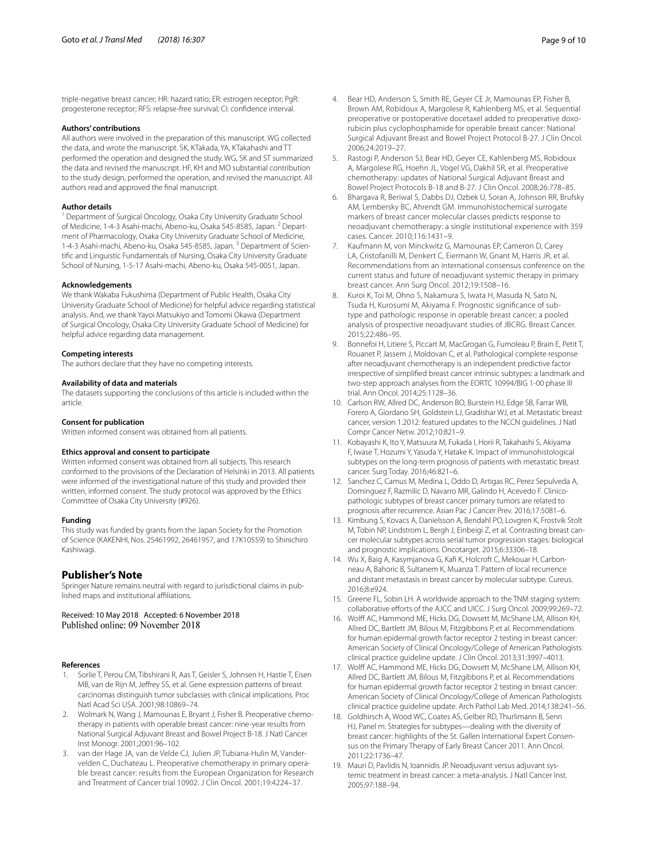triple-negative breast cancer; HR: hazard ratio; ER: estrogen receptor; PgR: progesterone receptor; RFS: relapse-free survival; CI: confdence interval.

## **Authors' contributions**

All authors were involved in the preparation of this manuscript. WG collected the data, and wrote the manuscript. SK, KTakada, YA, KTakahashi and TT performed the operation and designed the study. WG, SK and ST summarized the data and revised the manuscript. HF, KH and MO substantial contribution to the study design, performed the operation, and revised the manuscript. All authors read and approved the fnal manuscript.

#### **Author details**

<sup>1</sup> Department of Surgical Oncology, Osaka City University Graduate School of Medicine, 1-4-3 Asahi-machi, Abeno-ku, Osaka 545-8585, Japan. 2 Department of Pharmacology, Osaka City University Graduate School of Medicine, 1-4-3 Asahi-machi, Abeno-ku, Osaka 545-8585, Japan.<sup>3</sup> Department of Scientifc and Linguistic Fundamentals of Nursing, Osaka City University Graduate School of Nursing, 1-5-17 Asahi-machi, Abeno-ku, Osaka 545-0051, Japan.

#### **Acknowledgements**

We thank Wakaba Fukushima (Department of Public Health, Osaka City University Graduate School of Medicine) for helpful advice regarding statistical analysis. And, we thank Yayoi Matsukiyo and Tomomi Okawa (Department of Surgical Oncology, Osaka City University Graduate School of Medicine) for helpful advice regarding data management.

#### **Competing interests**

The authors declare that they have no competing interests.

#### **Availability of data and materials**

The datasets supporting the conclusions of this article is included within the article.

#### **Consent for publication**

Written informed consent was obtained from all patients.

## **Ethics approval and consent to participate**

Written informed consent was obtained from all subjects. This research conformed to the provisions of the Declaration of Helsinki in 2013. All patients were informed of the investigational nature of this study and provided their written, informed consent. The study protocol was approved by the Ethics Committee of Osaka City University (#926).

#### **Funding**

This study was funded by grants from the Japan Society for the Promotion of Science (KAKENHI, Nos. 25461992, 26461957, and 17K10559) to Shinichiro Kashiwagi.

## **Publisher's Note**

Springer Nature remains neutral with regard to jurisdictional claims in published maps and institutional affiliations.

Received: 10 May 2018 Accepted: 6 November 2018 Published online: 09 November 2018

#### **References**

- <span id="page-8-0"></span>Sorlie T, Perou CM, Tibshirani R, Aas T, Geisler S, Johnsen H, Hastie T, Eisen MB, van de Rijn M, Jefrey SS, et al. Gene expression patterns of breast carcinomas distinguish tumor subclasses with clinical implications. Proc Natl Acad Sci USA. 2001;98:10869–74.
- <span id="page-8-1"></span>2. Wolmark N, Wang J, Mamounas E, Bryant J, Fisher B. Preoperative chemotherapy in patients with operable breast cancer: nine-year results from National Surgical Adjuvant Breast and Bowel Project B-18. J Natl Cancer Inst Monogr. 2001;2001:96–102.
- <span id="page-8-2"></span>3. van der Hage JA, van de Velde CJ, Julien JP, Tubiana-Hulin M, Vandervelden C, Duchateau L. Preoperative chemotherapy in primary operable breast cancer: results from the European Organization for Research and Treatment of Cancer trial 10902. J Clin Oncol. 2001;19:4224–37.
- <span id="page-8-3"></span>4. Bear HD, Anderson S, Smith RE, Geyer CE Jr, Mamounas EP, Fisher B, Brown AM, Robidoux A, Margolese R, Kahlenberg MS, et al. Sequential preoperative or postoperative docetaxel added to preoperative doxorubicin plus cyclophosphamide for operable breast cancer: National Surgical Adjuvant Breast and Bowel Project Protocol B-27. J Clin Oncol. 2006;24:2019–27.
- 5. Rastogi P, Anderson SJ, Bear HD, Geyer CE, Kahlenberg MS, Robidoux A, Margolese RG, Hoehn JL, Vogel VG, Dakhil SR, et al. Preoperative chemotherapy: updates of National Surgical Adjuvant Breast and Bowel Project Protocols B-18 and B-27. J Clin Oncol. 2008;26:778–85.
- 6. Bhargava R, Beriwal S, Dabbs DJ, Ozbek U, Soran A, Johnson RR, Brufsky AM, Lembersky BC, Ahrendt GM. Immunohistochemical surrogate markers of breast cancer molecular classes predicts response to neoadjuvant chemotherapy: a single institutional experience with 359 cases. Cancer. 2010;116:1431–9.
- 7. Kaufmann M, von Minckwitz G, Mamounas EP, Cameron D, Carey LA, Cristofanilli M, Denkert C, Eiermann W, Gnant M, Harris JR, et al. Recommendations from an international consensus conference on the current status and future of neoadjuvant systemic therapy in primary breast cancer. Ann Surg Oncol. 2012;19:1508–16.
- 8. Kuroi K, Toi M, Ohno S, Nakamura S, Iwata H, Masuda N, Sato N, Tsuda H, Kurosumi M, Akiyama F. Prognostic signifcance of subtype and pathologic response in operable breast cancer; a pooled analysis of prospective neoadjuvant studies of JBCRG. Breast Cancer. 2015;22:486–95.
- <span id="page-8-4"></span>Bonnefoi H, Litiere S, Piccart M, MacGrogan G, Fumoleau P, Brain E, Petit T, Rouanet P, Jassem J, Moldovan C, et al. Pathological complete response after neoadjuvant chemotherapy is an independent predictive factor irrespective of simplifed breast cancer intrinsic subtypes: a landmark and two-step approach analyses from the EORTC 10994/BIG 1-00 phase III trial. Ann Oncol. 2014;25:1128–36.
- <span id="page-8-5"></span>10. Carlson RW, Allred DC, Anderson BO, Burstein HJ, Edge SB, Farrar WB, Forero A, Giordano SH, Goldstein LJ, Gradishar WJ, et al. Metastatic breast cancer, version 1.2012: featured updates to the NCCN guidelines. J Natl Compr Cancer Netw. 2012;10:821–9.
- <span id="page-8-6"></span>11. Kobayashi K, Ito Y, Matsuura M, Fukada I, Horii R, Takahashi S, Akiyama F, Iwase T, Hozumi Y, Yasuda Y, Hatake K. Impact of immunohistological subtypes on the long-term prognosis of patients with metastatic breast cancer. Surg Today. 2016;46:821–6.
- 12. Sanchez C, Camus M, Medina L, Oddo D, Artigas RC, Perez Sepulveda A, Dominguez F, Razmilic D, Navarro MR, Galindo H, Acevedo F. Clinicopathologic subtypes of breast cancer primary tumors are related to prognosis after recurrence. Asian Pac J Cancer Prev. 2016;17:5081–6.
- 13. Kimbung S, Kovacs A, Danielsson A, Bendahl PO, Lovgren K, Frostvik Stolt M, Tobin NP, Lindstrom L, Bergh J, Einbeigi Z, et al. Contrasting breast cancer molecular subtypes across serial tumor progression stages: biological and prognostic implications. Oncotarget. 2015;6:33306–18.
- <span id="page-8-7"></span>14. Wu X, Baig A, Kasymjanova G, Kaf K, Holcroft C, Mekouar H, Carbonneau A, Bahoric B, Sultanem K, Muanza T. Pattern of local recurrence and distant metastasis in breast cancer by molecular subtype. Cureus. 2016;8:e924.
- <span id="page-8-8"></span>15. Greene FL, Sobin LH. A worldwide approach to the TNM staging system: collaborative efforts of the AJCC and UICC. J Surg Oncol. 2009;99:269-72.
- <span id="page-8-9"></span>16. Wolf AC, Hammond ME, Hicks DG, Dowsett M, McShane LM, Allison KH, Allred DC, Bartlett JM, Bilous M, Fitzgibbons P, et al. Recommendations for human epidermal growth factor receptor 2 testing in breast cancer: American Society of Clinical Oncology/College of American Pathologists clinical practice guideline update. J Clin Oncol. 2013;31:3997–4013.
- <span id="page-8-10"></span>17. Wolff AC, Hammond ME, Hicks DG, Dowsett M, McShane LM, Allison KH, Allred DC, Bartlett JM, Bilous M, Fitzgibbons P, et al. Recommendations for human epidermal growth factor receptor 2 testing in breast cancer: American Society of Clinical Oncology/College of American Pathologists clinical practice guideline update. Arch Pathol Lab Med. 2014;138:241–56.
- <span id="page-8-11"></span>18. Goldhirsch A, Wood WC, Coates AS, Gelber RD, Thurlimann B, Senn HJ, Panel m. Strategies for subtypes—dealing with the diversity of breast cancer: highlights of the St. Gallen International Expert Consensus on the Primary Therapy of Early Breast Cancer 2011. Ann Oncol. 2011;22:1736–47.
- <span id="page-8-12"></span>19. Mauri D, Pavlidis N, Ioannidis JP. Neoadjuvant versus adjuvant systemic treatment in breast cancer: a meta-analysis. J Natl Cancer Inst. 2005;97:188–94.